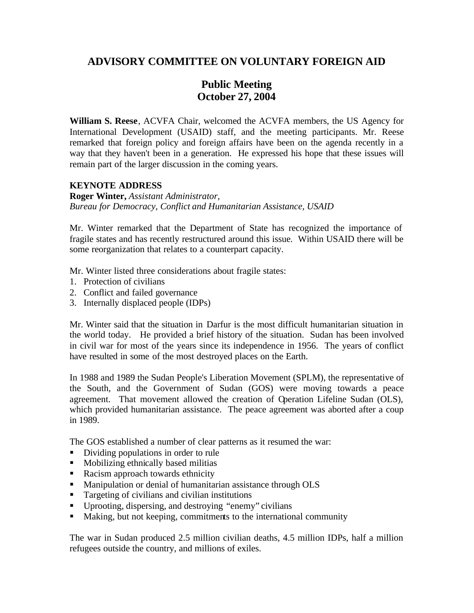# **ADVISORY COMMITTEE ON VOLUNTARY FOREIGN AID**

# **Public Meeting October 27, 2004**

**William S. Reese**, ACVFA Chair, welcomed the ACVFA members, the US Agency for International Development (USAID) staff, and the meeting participants. Mr. Reese remarked that foreign policy and foreign affairs have been on the agenda recently in a way that they haven't been in a generation. He expressed his hope that these issues will remain part of the larger discussion in the coming years.

### **KEYNOTE ADDRESS**

**Roger Winter,** *Assistant Administrator, Bureau for Democracy, Conflict and Humanitarian Assistance, USAID*

Mr. Winter remarked that the Department of State has recognized the importance of fragile states and has recently restructured around this issue. Within USAID there will be some reorganization that relates to a counterpart capacity.

Mr. Winter listed three considerations about fragile states:

- 1. Protection of civilians
- 2. Conflict and failed governance
- 3. Internally displaced people (IDPs)

Mr. Winter said that the situation in Darfur is the most difficult humanitarian situation in the world today. He provided a brief history of the situation. Sudan has been involved in civil war for most of the years since its independence in 1956. The years of conflict have resulted in some of the most destroyed places on the Earth.

In 1988 and 1989 the Sudan People's Liberation Movement (SPLM), the representative of the South, and the Government of Sudan (GOS) were moving towards a peace agreement. That movement allowed the creation of Operation Lifeline Sudan (OLS), which provided humanitarian assistance. The peace agreement was aborted after a coup in 1989.

The GOS established a number of clear patterns as it resumed the war:

- Dividing populations in order to rule
- Mobilizing ethnically based militias
- Racism approach towards ethnicity
- Manipulation or denial of humanitarian assistance through OLS
- **Targeting of civilians and civilian institutions**
- Uprooting, dispersing, and destroying "enemy" civilians
- Making, but not keeping, commitments to the international community

The war in Sudan produced 2.5 million civilian deaths, 4.5 million IDPs, half a million refugees outside the country, and millions of exiles.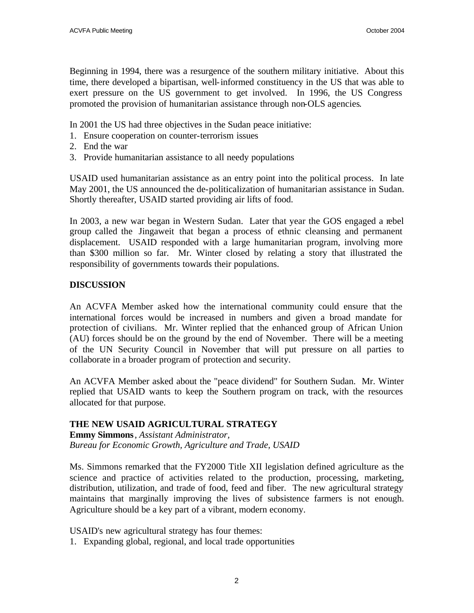Beginning in 1994, there was a resurgence of the southern military initiative. About this time, there developed a bipartisan, well-informed constituency in the US that was able to exert pressure on the US government to get involved. In 1996, the US Congress promoted the provision of humanitarian assistance through non-OLS agencies.

In 2001 the US had three objectives in the Sudan peace initiative:

- 1. Ensure cooperation on counter-terrorism issues
- 2. End the war
- 3. Provide humanitarian assistance to all needy populations

USAID used humanitarian assistance as an entry point into the political process. In late May 2001, the US announced the de-politicalization of humanitarian assistance in Sudan. Shortly thereafter, USAID started providing air lifts of food.

In 2003, a new war began in Western Sudan. Later that year the GOS engaged a rebel group called the Jingaweit that began a process of ethnic cleansing and permanent displacement. USAID responded with a large humanitarian program, involving more than \$300 million so far. Mr. Winter closed by relating a story that illustrated the responsibility of governments towards their populations.

#### **DISCUSSION**

An ACVFA Member asked how the international community could ensure that the international forces would be increased in numbers and given a broad mandate for protection of civilians. Mr. Winter replied that the enhanced group of African Union (AU) forces should be on the ground by the end of November. There will be a meeting of the UN Security Council in November that will put pressure on all parties to collaborate in a broader program of protection and security.

An ACVFA Member asked about the "peace dividend" for Southern Sudan. Mr. Winter replied that USAID wants to keep the Southern program on track, with the resources allocated for that purpose.

#### **THE NEW USAID AGRICULTURAL STRATEGY**

**Emmy Simmons**, *Assistant Administrator, Bureau for Economic Growth, Agriculture and Trade, USAID*

Ms. Simmons remarked that the FY2000 Title XII legislation defined agriculture as the science and practice of activities related to the production, processing, marketing, distribution, utilization, and trade of food, feed and fiber. The new agricultural strategy maintains that marginally improving the lives of subsistence farmers is not enough. Agriculture should be a key part of a vibrant, modern economy.

USAID's new agricultural strategy has four themes:

1. Expanding global, regional, and local trade opportunities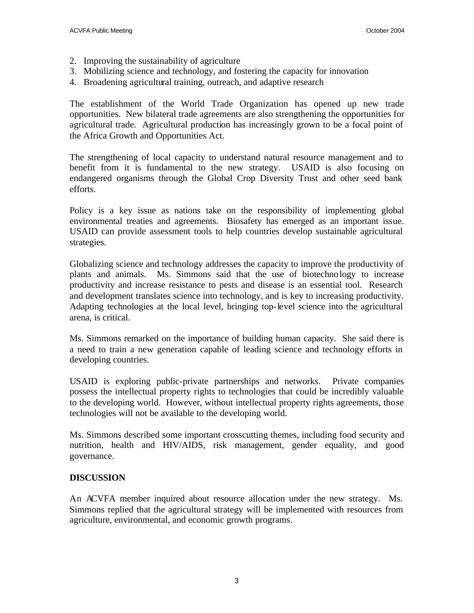- 2. Improving the sustainability of agriculture
- 3. Mobilizing science and technology, and fostering the capacity for innovation
- 4. Broadening agricultural training, outreach, and adaptive research

The establishment of the World Trade Organization has opened up new trade opportunities. New bilateral trade agreements are also strengthening the opportunities for agricultural trade. Agricultural production has increasingly grown to be a focal point of the Africa Growth and Opportunities Act.

The strengthening of local capacity to understand natural resource management and to benefit from it is fundamental to the new strategy. USAID is also focusing on endangered organisms through the Global Crop Diversity Trust and other seed bank efforts.

Policy is a key issue as nations take on the responsibility of implementing global environmental treaties and agreements. Biosafety has emerged as an important issue. USAID can provide assessment tools to help countries develop sustainable agricultural strategies.

Globalizing science and technology addresses the capacity to improve the productivity of plants and animals. Ms. Simmons said that the use of biotechnology to increase productivity and increase resistance to pests and disease is an essential tool. Research and development translates science into technology, and is key to increasing productivity. Adapting technologies at the local level, bringing top-level science into the agricultural arena, is critical.

Ms. Simmons remarked on the importance of building human capacity. She said there is a need to train a new generation capable of leading science and technology efforts in developing countries.

USAID is exploring public-private partnerships and networks. Private companies possess the intellectual property rights to technologies that could be incredibly valuable to the developing world. However, without intellectual property rights agreements, those technologies will not be available to the developing world.

Ms. Simmons described some important crosscutting themes, including food security and nutrition, health and HIV/AIDS, risk management, gender equality, and good governance.

#### **DISCUSSION**

An ACVFA member inquired about resource allocation under the new strategy. Ms. Simmons replied that the agricultural strategy will be implemented with resources from agriculture, environmental, and economic growth programs.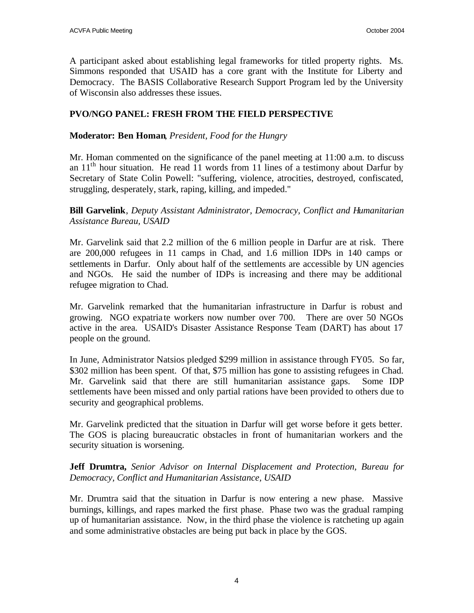A participant asked about establishing legal frameworks for titled property rights. Ms. Simmons responded that USAID has a core grant with the Institute for Liberty and Democracy. The BASIS Collaborative Research Support Program led by the University of Wisconsin also addresses these issues.

#### **PVO/NGO PANEL: FRESH FROM THE FIELD PERSPECTIVE**

#### **Moderator: Ben Homan**, *President, Food for the Hungry*

Mr. Homan commented on the significance of the panel meeting at 11:00 a.m. to discuss an  $11<sup>th</sup>$  hour situation. He read 11 words from 11 lines of a testimony about Darfur by Secretary of State Colin Powell: "suffering, violence, atrocities, destroyed, confiscated, struggling, desperately, stark, raping, killing, and impeded."

**Bill Garvelink**, *Deputy Assistant Administrator, Democracy, Conflict and Humanitarian Assistance Bureau, USAID*

Mr. Garvelink said that 2.2 million of the 6 million people in Darfur are at risk. There are 200,000 refugees in 11 camps in Chad, and 1.6 million IDPs in 140 camps or settlements in Darfur. Only about half of the settlements are accessible by UN agencies and NGOs. He said the number of IDPs is increasing and there may be additional refugee migration to Chad.

Mr. Garvelink remarked that the humanitarian infrastructure in Darfur is robust and growing. NGO expatria te workers now number over 700. There are over 50 NGOs active in the area. USAID's Disaster Assistance Response Team (DART) has about 17 people on the ground.

In June, Administrator Natsios pledged \$299 million in assistance through FY05. So far, \$302 million has been spent. Of that, \$75 million has gone to assisting refugees in Chad. Mr. Garvelink said that there are still humanitarian assistance gaps. Some IDP settlements have been missed and only partial rations have been provided to others due to security and geographical problems.

Mr. Garvelink predicted that the situation in Darfur will get worse before it gets better. The GOS is placing bureaucratic obstacles in front of humanitarian workers and the security situation is worsening.

**Jeff Drumtra,** *Senior Advisor on Internal Displacement and Protection, Bureau for Democracy, Conflict and Humanitarian Assistance, USAID*

Mr. Drumtra said that the situation in Darfur is now entering a new phase. Massive burnings, killings, and rapes marked the first phase. Phase two was the gradual ramping up of humanitarian assistance. Now, in the third phase the violence is ratcheting up again and some administrative obstacles are being put back in place by the GOS.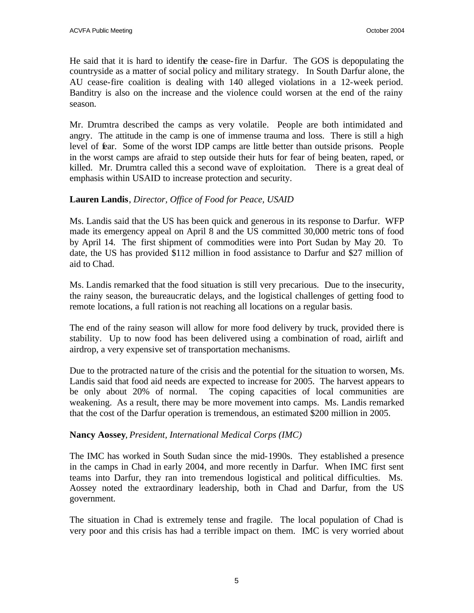He said that it is hard to identify the cease-fire in Darfur. The GOS is depopulating the countryside as a matter of social policy and military strategy. In South Darfur alone, the AU cease-fire coalition is dealing with 140 alleged violations in a 12-week period. Banditry is also on the increase and the violence could worsen at the end of the rainy season.

Mr. Drumtra described the camps as very volatile. People are both intimidated and angry. The attitude in the camp is one of immense trauma and loss. There is still a high level of fear. Some of the worst IDP camps are little better than outside prisons. People in the worst camps are afraid to step outside their huts for fear of being beaten, raped, or killed. Mr. Drumtra called this a second wave of exploitation. There is a great deal of emphasis within USAID to increase protection and security.

### **Lauren Landis**, *Director, Office of Food for Peace, USAID*

Ms. Landis said that the US has been quick and generous in its response to Darfur. WFP made its emergency appeal on April 8 and the US committed 30,000 metric tons of food by April 14. The first shipment of commodities were into Port Sudan by May 20. To date, the US has provided \$112 million in food assistance to Darfur and \$27 million of aid to Chad.

Ms. Landis remarked that the food situation is still very precarious. Due to the insecurity, the rainy season, the bureaucratic delays, and the logistical challenges of getting food to remote locations, a full ration is not reaching all locations on a regular basis.

The end of the rainy season will allow for more food delivery by truck, provided there is stability. Up to now food has been delivered using a combination of road, airlift and airdrop, a very expensive set of transportation mechanisms.

Due to the protracted na ture of the crisis and the potential for the situation to worsen, Ms. Landis said that food aid needs are expected to increase for 2005. The harvest appears to be only about 20% of normal. The coping capacities of local communities are weakening. As a result, there may be more movement into camps. Ms. Landis remarked that the cost of the Darfur operation is tremendous, an estimated \$200 million in 2005.

### **Nancy Aossey**, *President, International Medical Corps (IMC)*

The IMC has worked in South Sudan since the mid-1990s. They established a presence in the camps in Chad in early 2004, and more recently in Darfur. When IMC first sent teams into Darfur, they ran into tremendous logistical and political difficulties. Ms. Aossey noted the extraordinary leadership, both in Chad and Darfur, from the US government.

The situation in Chad is extremely tense and fragile. The local population of Chad is very poor and this crisis has had a terrible impact on them. IMC is very worried about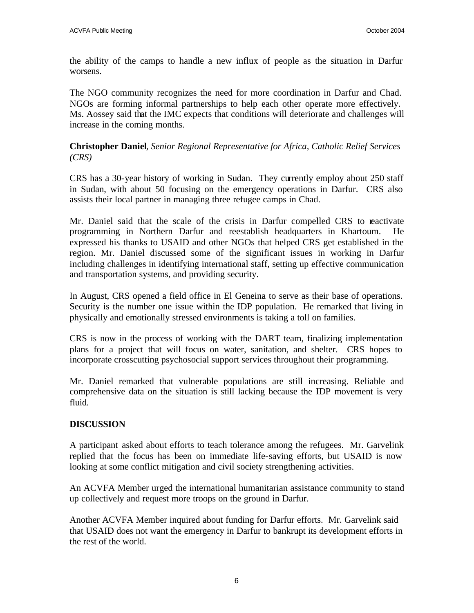the ability of the camps to handle a new influx of people as the situation in Darfur worsens.

The NGO community recognizes the need for more coordination in Darfur and Chad. NGOs are forming informal partnerships to help each other operate more effectively. Ms. Aossey said that the IMC expects that conditions will deteriorate and challenges will increase in the coming months.

## **Christopher Daniel**, *Senior Regional Representative for Africa, Catholic Relief Services (CRS)*

CRS has a 30-year history of working in Sudan. They currently employ about 250 staff in Sudan, with about 50 focusing on the emergency operations in Darfur. CRS also assists their local partner in managing three refugee camps in Chad.

Mr. Daniel said that the scale of the crisis in Darfur compelled CRS to reactivate programming in Northern Darfur and reestablish headquarters in Khartoum. He expressed his thanks to USAID and other NGOs that helped CRS get established in the region. Mr. Daniel discussed some of the significant issues in working in Darfur including challenges in identifying international staff, setting up effective communication and transportation systems, and providing security.

In August, CRS opened a field office in El Geneina to serve as their base of operations. Security is the number one issue within the IDP population. He remarked that living in physically and emotionally stressed environments is taking a toll on families.

CRS is now in the process of working with the DART team, finalizing implementation plans for a project that will focus on water, sanitation, and shelter. CRS hopes to incorporate crosscutting psychosocial support services throughout their programming.

Mr. Daniel remarked that vulnerable populations are still increasing. Reliable and comprehensive data on the situation is still lacking because the IDP movement is very fluid.

## **DISCUSSION**

A participant asked about efforts to teach tolerance among the refugees. Mr. Garvelink replied that the focus has been on immediate life-saving efforts, but USAID is now looking at some conflict mitigation and civil society strengthening activities.

An ACVFA Member urged the international humanitarian assistance community to stand up collectively and request more troops on the ground in Darfur.

Another ACVFA Member inquired about funding for Darfur efforts. Mr. Garvelink said that USAID does not want the emergency in Darfur to bankrupt its development efforts in the rest of the world.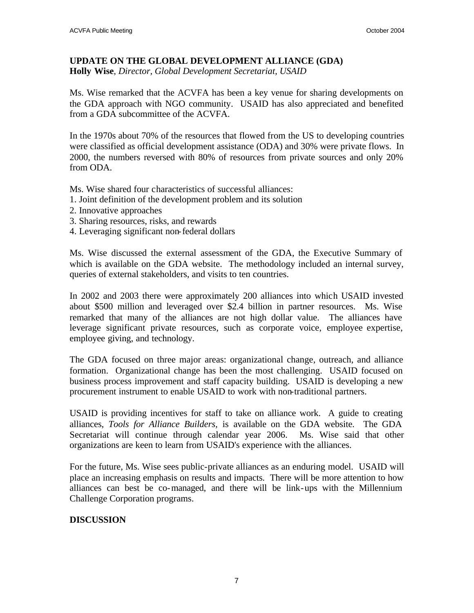#### **UPDATE ON THE GLOBAL DEVELOPMENT ALLIANCE (GDA)**

**Holly Wise**, *Director, Global Development Secretariat, USAID*

Ms. Wise remarked that the ACVFA has been a key venue for sharing developments on the GDA approach with NGO community. USAID has also appreciated and benefited from a GDA subcommittee of the ACVFA.

In the 1970s about 70% of the resources that flowed from the US to developing countries were classified as official development assistance (ODA) and 30% were private flows. In 2000, the numbers reversed with 80% of resources from private sources and only 20% from ODA.

Ms. Wise shared four characteristics of successful alliances:

- 1. Joint definition of the development problem and its solution
- 2. Innovative approaches
- 3. Sharing resources, risks, and rewards
- 4. Leveraging significant non-federal dollars

Ms. Wise discussed the external assessment of the GDA, the Executive Summary of which is available on the GDA website. The methodology included an internal survey, queries of external stakeholders, and visits to ten countries.

In 2002 and 2003 there were approximately 200 alliances into which USAID invested about \$500 million and leveraged over \$2.4 billion in partner resources. Ms. Wise remarked that many of the alliances are not high dollar value. The alliances have leverage significant private resources, such as corporate voice, employee expertise, employee giving, and technology.

The GDA focused on three major areas: organizational change, outreach, and alliance formation. Organizational change has been the most challenging. USAID focused on business process improvement and staff capacity building. USAID is developing a new procurement instrument to enable USAID to work with non-traditional partners.

USAID is providing incentives for staff to take on alliance work. A guide to creating alliances, *Tools for Alliance Builders,* is available on the GDA website. The GDA Secretariat will continue through calendar year 2006. Ms. Wise said that other organizations are keen to learn from USAID's experience with the alliances.

For the future, Ms. Wise sees public-private alliances as an enduring model. USAID will place an increasing emphasis on results and impacts. There will be more attention to how alliances can best be co-managed, and there will be link-ups with the Millennium Challenge Corporation programs.

### **DISCUSSION**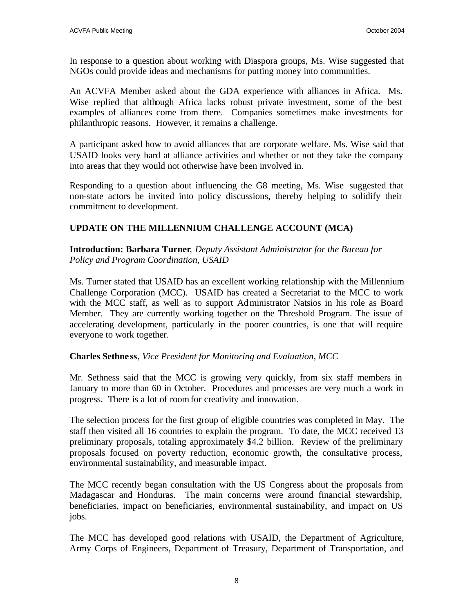In response to a question about working with Diaspora groups, Ms. Wise suggested that NGOs could provide ideas and mechanisms for putting money into communities.

An ACVFA Member asked about the GDA experience with alliances in Africa. Ms. Wise replied that although Africa lacks robust private investment, some of the best examples of alliances come from there. Companies sometimes make investments for philanthropic reasons. However, it remains a challenge.

A participant asked how to avoid alliances that are corporate welfare. Ms. Wise said that USAID looks very hard at alliance activities and whether or not they take the company into areas that they would not otherwise have been involved in.

Responding to a question about influencing the G8 meeting, Ms. Wise suggested that non-state actors be invited into policy discussions, thereby helping to solidify their commitment to development.

## **UPDATE ON THE MILLENNIUM CHALLENGE ACCOUNT (MCA)**

**Introduction: Barbara Turner**, *Deputy Assistant Administrator for the Bureau for Policy and Program Coordination, USAID*

Ms. Turner stated that USAID has an excellent working relationship with the Millennium Challenge Corporation (MCC). USAID has created a Secretariat to the MCC to work with the MCC staff, as well as to support Administrator Natsios in his role as Board Member. They are currently working together on the Threshold Program. The issue of accelerating development, particularly in the poorer countries, is one that will require everyone to work together.

### **Charles Sethne ss**, *Vice President for Monitoring and Evaluation, MCC*

Mr. Sethness said that the MCC is growing very quickly, from six staff members in January to more than 60 in October. Procedures and processes are very much a work in progress. There is a lot of room for creativity and innovation.

The selection process for the first group of eligible countries was completed in May. The staff then visited all 16 countries to explain the program. To date, the MCC received 13 preliminary proposals, totaling approximately \$4.2 billion. Review of the preliminary proposals focused on poverty reduction, economic growth, the consultative process, environmental sustainability, and measurable impact.

The MCC recently began consultation with the US Congress about the proposals from Madagascar and Honduras. The main concerns were around financial stewardship, beneficiaries, impact on beneficiaries, environmental sustainability, and impact on US jobs.

The MCC has developed good relations with USAID, the Department of Agriculture, Army Corps of Engineers, Department of Treasury, Department of Transportation, and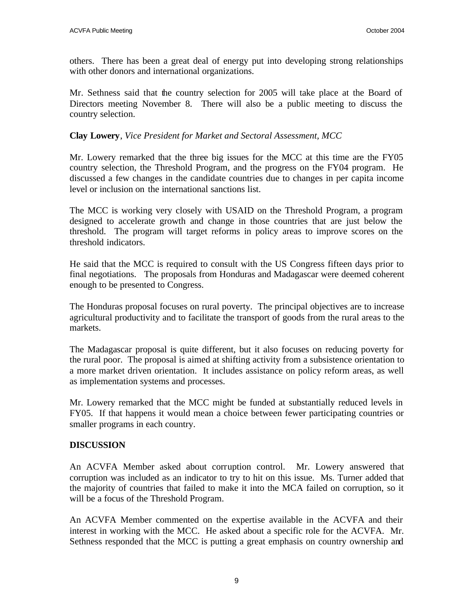others. There has been a great deal of energy put into developing strong relationships with other donors and international organizations.

Mr. Sethness said that the country selection for 2005 will take place at the Board of Directors meeting November 8. There will also be a public meeting to discuss the country selection.

## **Clay Lowery**, *Vice President for Market and Sectoral Assessment, MCC*

Mr. Lowery remarked that the three big issues for the MCC at this time are the FY05 country selection, the Threshold Program, and the progress on the FY04 program. He discussed a few changes in the candidate countries due to changes in per capita income level or inclusion on the international sanctions list.

The MCC is working very closely with USAID on the Threshold Program, a program designed to accelerate growth and change in those countries that are just below the threshold. The program will target reforms in policy areas to improve scores on the threshold indicators.

He said that the MCC is required to consult with the US Congress fifteen days prior to final negotiations. The proposals from Honduras and Madagascar were deemed coherent enough to be presented to Congress.

The Honduras proposal focuses on rural poverty. The principal objectives are to increase agricultural productivity and to facilitate the transport of goods from the rural areas to the markets.

The Madagascar proposal is quite different, but it also focuses on reducing poverty for the rural poor. The proposal is aimed at shifting activity from a subsistence orientation to a more market driven orientation. It includes assistance on policy reform areas, as well as implementation systems and processes.

Mr. Lowery remarked that the MCC might be funded at substantially reduced levels in FY05. If that happens it would mean a choice between fewer participating countries or smaller programs in each country.

### **DISCUSSION**

An ACVFA Member asked about corruption control. Mr. Lowery answered that corruption was included as an indicator to try to hit on this issue. Ms. Turner added that the majority of countries that failed to make it into the MCA failed on corruption, so it will be a focus of the Threshold Program.

An ACVFA Member commented on the expertise available in the ACVFA and their interest in working with the MCC. He asked about a specific role for the ACVFA. Mr. Sethness responded that the MCC is putting a great emphasis on country ownership and